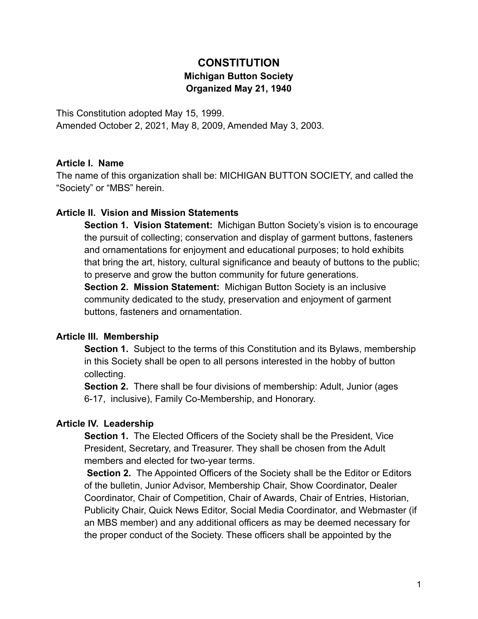# **CONSTITUTION Michigan Button Society Organized May 21, 1940**

This Constitution adopted May 15, 1999. Amended October 2, 2021, May 8, 2009, Amended May 3, 2003.

#### **Article I. Name**

The name of this organization shall be: MICHIGAN BUTTON SOCIETY, and called the "Society" or "MBS" herein.

#### **Article II. Vision and Mission Statements**

**Section 1. Vision Statement:** Michigan Button Society's vision is to encourage the pursuit of collecting; conservation and display of garment buttons, fasteners and ornamentations for enjoyment and educational purposes; to hold exhibits that bring the art, history, cultural significance and beauty of buttons to the public; to preserve and grow the button community for future generations.

**Section 2. Mission Statement:** Michigan Button Society is an inclusive community dedicated to the study, preservation and enjoyment of garment buttons, fasteners and ornamentation.

### **Article III. Membership**

**Section 1.** Subject to the terms of this Constitution and its Bylaws, membership in this Society shall be open to all persons interested in the hobby of button collecting.

**Section 2.** There shall be four divisions of membership: Adult, Junior (ages 6-17, inclusive), Family Co-Membership, and Honorary.

### **Article IV. Leadership**

**Section 1.** The Elected Officers of the Society shall be the President, Vice President, Secretary, and Treasurer. They shall be chosen from the Adult members and elected for two-year terms.

**Section 2.** The Appointed Officers of the Society shall be the Editor or Editors of the bulletin, Junior Advisor, Membership Chair, Show Coordinator, Dealer Coordinator, Chair of Competition, Chair of Awards, Chair of Entries, Historian, Publicity Chair, Quick News Editor, Social Media Coordinator, and Webmaster (if an MBS member) and any additional officers as may be deemed necessary for the proper conduct of the Society. These officers shall be appointed by the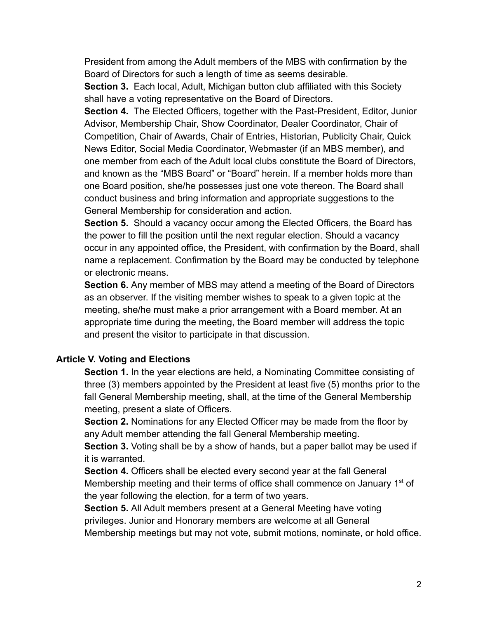President from among the Adult members of the MBS with confirmation by the Board of Directors for such a length of time as seems desirable.

**Section 3.** Each local, Adult, Michigan button club affiliated with this Society shall have a voting representative on the Board of Directors.

**Section 4.** The Elected Officers, together with the Past-President, Editor, Junior Advisor, Membership Chair, Show Coordinator, Dealer Coordinator, Chair of Competition, Chair of Awards, Chair of Entries, Historian, Publicity Chair, Quick News Editor, Social Media Coordinator, Webmaster (if an MBS member), and one member from each of the Adult local clubs constitute the Board of Directors, and known as the "MBS Board" or "Board" herein. If a member holds more than one Board position, she/he possesses just one vote thereon. The Board shall conduct business and bring information and appropriate suggestions to the General Membership for consideration and action.

**Section 5.** Should a vacancy occur among the Elected Officers, the Board has the power to fill the position until the next regular election. Should a vacancy occur in any appointed office, the President, with confirmation by the Board, shall name a replacement. Confirmation by the Board may be conducted by telephone or electronic means.

**Section 6.** Any member of MBS may attend a meeting of the Board of Directors as an observer. If the visiting member wishes to speak to a given topic at the meeting, she/he must make a prior arrangement with a Board member. At an appropriate time during the meeting, the Board member will address the topic and present the visitor to participate in that discussion.

### **Article V. Voting and Elections**

**Section 1.** In the year elections are held, a Nominating Committee consisting of three (3) members appointed by the President at least five (5) months prior to the fall General Membership meeting, shall, at the time of the General Membership meeting, present a slate of Officers.

**Section 2.** Nominations for any Elected Officer may be made from the floor by any Adult member attending the fall General Membership meeting.

**Section 3.** Voting shall be by a show of hands, but a paper ballot may be used if it is warranted.

**Section 4.** Officers shall be elected every second year at the fall General Membership meeting and their terms of office shall commence on January 1<sup>st</sup> of the year following the election, for a term of two years.

**Section 5.** All Adult members present at a General Meeting have voting privileges. Junior and Honorary members are welcome at all General Membership meetings but may not vote, submit motions, nominate, or hold office.